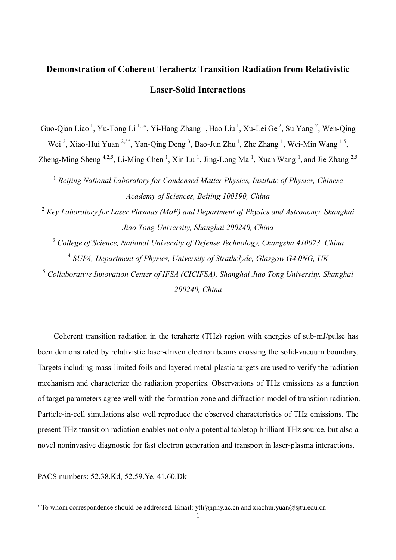## **Demonstration of Coherent Terahertz Transition Radiation from Relativistic Laser-Solid Interactions**

Guo-Qian Liao<sup>1</sup>, Yu-Tong Li<sup>1,5\*</sup>, Yi-Hang Zhang<sup>1</sup>, Hao Liu<sup>1</sup>, Xu-Lei Ge<sup>2</sup>, Su Yang<sup>2</sup>, Wen-Qing Wei<sup>2</sup>, Xiao-Hui Yuan<sup>2,5\*</sup>, Yan-Qing Deng<sup>3</sup>, Bao-Jun Zhu<sup>1</sup>, Zhe Zhang<sup>1</sup>, Wei-Min Wang<sup>1,5</sup>, Zheng-Ming Sheng <sup>4,2,5</sup>, Li-Ming Chen<sup>1</sup>, Xin Lu<sup>1</sup>, Jing-Long Ma<sup>1</sup>, Xuan Wang<sup>1</sup>, and Jie Zhang <sup>2,5</sup>

1 *Beijing National Laboratory for Condensed Matter Physics, Institute of Physics, Chinese Academy of Sciences, Beijing 100190, China* 

<sup>2</sup> *Key Laboratory for Laser Plasmas (MoE) and Department of Physics and Astronomy, Shanghai Jiao Tong University, Shanghai 200240, China*

<sup>3</sup> *College of Science, National University of Defense Technology, Changsha 410073, China* 4 *SUPA, Department of Physics, University of Strathclyde, Glasgow G4 0NG, UK*

<sup>5</sup> *Collaborative Innovation Center of IFSA (CICIFSA), Shanghai Jiao Tong University, Shanghai 200240, China*

 Coherent transition radiation in the terahertz (THz) region with energies of sub-mJ/pulse has been demonstrated by relativistic laser-driven electron beams crossing the solid-vacuum boundary. Targets including mass-limited foils and layered metal-plastic targets are used to verify the radiation mechanism and characterize the radiation properties. Observations of THz emissions as a function of target parameters agree well with the formation-zone and diffraction model of transition radiation. Particle-in-cell simulations also well reproduce the observed characteristics of THz emissions. The present THz transition radiation enables not only a potential tabletop brilliant THz source, but also a novel noninvasive diagnostic for fast electron generation and transport in laser-plasma interactions.

PACS numbers: 52.38.Kd, 52.59.Ye, 41.60.Dk

 $\overline{a}$ 

To whom correspondence should be addressed. Email: ytli@iphy.ac.cn and xiaohui.yuan@sjtu.edu.cn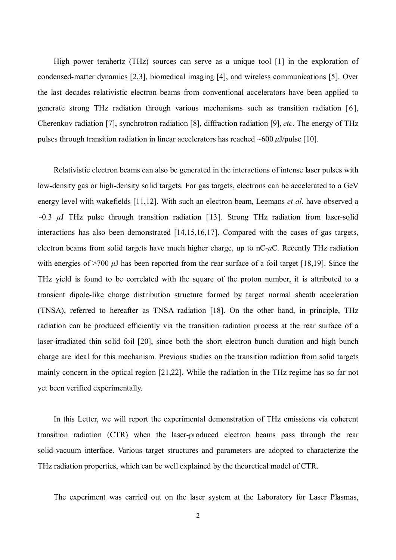High power terahertz (THz) sources can serve as a unique tool [1] in the exploration of condensed-matter dynamics [2,3], biomedical imaging [4], and wireless communications [5]. Over the last decades relativistic electron beams from conventional accelerators have been applied to generate strong THz radiation through various mechanisms such as transition radiation [6], Cherenkov radiation [7], synchrotron radiation [8], diffraction radiation [9], *etc*. The energy of THz pulses through transition radiation in linear accelerators has reached ~600 *μ*J/pulse [10].

Relativistic electron beams can also be generated in the interactions of intense laser pulses with low-density gas or high-density solid targets. For gas targets, electrons can be accelerated to a GeV energy level with wakefields [11,12]. With such an electron beam, Leemans *et al*. have observed a ~0.3 *μ*J THz pulse through transition radiation [13]. Strong THz radiation from laser-solid interactions has also been demonstrated [14,15,16,17]. Compared with the cases of gas targets, electron beams from solid targets have much higher charge, up to nC-*μ*C. Recently THz radiation with energies of >700 *μ*J has been reported from the rear surface of a foil target [18,19]. Since the THz yield is found to be correlated with the square of the proton number, it is attributed to a transient dipole-like charge distribution structure formed by target normal sheath acceleration (TNSA), referred to hereafter as TNSA radiation [18]. On the other hand, in principle, THz radiation can be produced efficiently via the transition radiation process at the rear surface of a laser-irradiated thin solid foil [20], since both the short electron bunch duration and high bunch charge are ideal for this mechanism. Previous studies on the transition radiation from solid targets mainly concern in the optical region [21,22]. While the radiation in the THz regime has so far not yet been verified experimentally.

In this Letter, we will report the experimental demonstration of THz emissions via coherent transition radiation (CTR) when the laser-produced electron beams pass through the rear solid-vacuum interface. Various target structures and parameters are adopted to characterize the THz radiation properties, which can be well explained by the theoretical model of CTR.

The experiment was carried out on the laser system at the Laboratory for Laser Plasmas,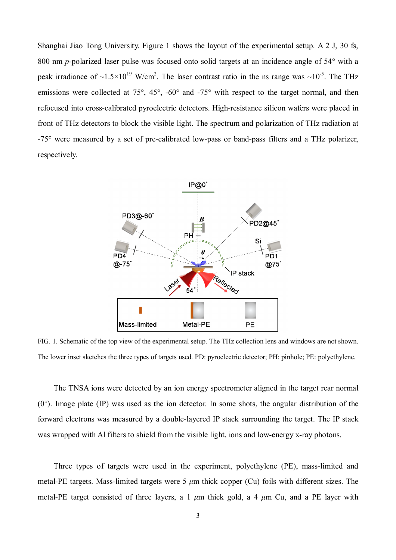Shanghai Jiao Tong University. Figure 1 shows the layout of the experimental setup. A 2 J, 30 fs, 800 nm *p*-polarized laser pulse was focused onto solid targets at an incidence angle of 54° with a peak irradiance of ~1.5×10<sup>19</sup> W/cm<sup>2</sup>. The laser contrast ratio in the ns range was ~10<sup>-5</sup>. The THz emissions were collected at 75°, 45°, -60° and -75° with respect to the target normal, and then refocused into cross-calibrated pyroelectric detectors. High-resistance silicon wafers were placed in front of THz detectors to block the visible light. The spectrum and polarization of THz radiation at -75° were measured by a set of pre-calibrated low-pass or band-pass filters and a THz polarizer, respectively.



FIG. 1. Schematic of the top view of the experimental setup. The THz collection lens and windows are not shown. The lower inset sketches the three types of targets used. PD: pyroelectric detector; PH: pinhole; PE: polyethylene.

The TNSA ions were detected by an ion energy spectrometer aligned in the target rear normal  $(0^{\circ})$ . Image plate  $(IP)$  was used as the ion detector. In some shots, the angular distribution of the forward electrons was measured by a double-layered IP stack surrounding the target. The IP stack was wrapped with Al filters to shield from the visible light, ions and low-energy x-ray photons.

Three types of targets were used in the experiment, polyethylene (PE), mass-limited and metal-PE targets. Mass-limited targets were 5 *μ*m thick copper (Cu) foils with different sizes. The metal-PE target consisted of three layers, a 1 *μ*m thick gold, a 4 *μ*m Cu, and a PE layer with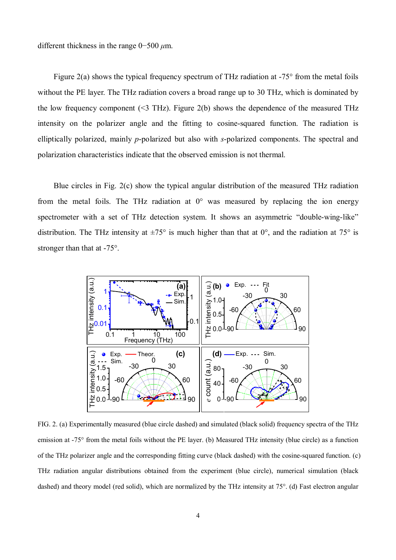different thickness in the range 0−500 *μ*m.

Figure 2(a) shows the typical frequency spectrum of THz radiation at  $-75^{\circ}$  from the metal foils without the PE layer. The THz radiation covers a broad range up to 30 THz, which is dominated by the low frequency component  $(\leq 3 \text{ THz})$ . Figure 2(b) shows the dependence of the measured THz intensity on the polarizer angle and the fitting to cosine-squared function. The radiation is elliptically polarized, mainly *p*-polarized but also with *s*-polarized components. The spectral and polarization characteristics indicate that the observed emission is not thermal.

Blue circles in Fig. 2(c) show the typical angular distribution of the measured THz radiation from the metal foils. The THz radiation at  $0^{\circ}$  was measured by replacing the ion energy spectrometer with a set of THz detection system. It shows an asymmetric "double-wing-like" distribution. The THz intensity at  $\pm 75^{\circ}$  is much higher than that at 0°, and the radiation at 75° is stronger than that at -75°.



FIG. 2. (a) Experimentally measured (blue circle dashed) and simulated (black solid) frequency spectra of the THz emission at -75° from the metal foils without the PE layer. (b) Measured THz intensity (blue circle) as a function of the THz polarizer angle and the corresponding fitting curve (black dashed) with the cosine-squared function. (c) THz radiation angular distributions obtained from the experiment (blue circle), numerical simulation (black dashed) and theory model (red solid), which are normalized by the THz intensity at 75°. (d) Fast electron angular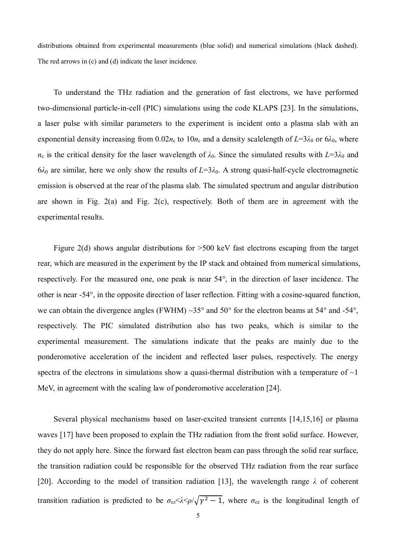distributions obtained from experimental measurements (blue solid) and numerical simulations (black dashed). The red arrows in (c) and (d) indicate the laser incidence.

To understand the THz radiation and the generation of fast electrons, we have performed two-dimensional particle-in-cell (PIC) simulations using the code KLAPS [23]. In the simulations, a laser pulse with similar parameters to the experiment is incident onto a plasma slab with an exponential density increasing from  $0.02n_c$  to  $10n_c$  and a density scalelength of  $L=3\lambda_0$  or  $6\lambda_0$ , where  $n_c$  is the critical density for the laser wavelength of  $\lambda_0$ . Since the simulated results with  $L=3\lambda_0$  and  $6\lambda_0$  are similar, here we only show the results of  $L=3\lambda_0$ . A strong quasi-half-cycle electromagnetic emission is observed at the rear of the plasma slab. The simulated spectrum and angular distribution are shown in Fig. 2(a) and Fig. 2(c), respectively. Both of them are in agreement with the experimental results.

Figure 2(d) shows angular distributions for  $>500$  keV fast electrons escaping from the target rear, which are measured in the experiment by the IP stack and obtained from numerical simulations, respectively. For the measured one, one peak is near 54°, in the direction of laser incidence. The other is near -54°, in the opposite direction of laser reflection. Fitting with a cosine-squared function, we can obtain the divergence angles (FWHM)  $\sim$ 35 $^{\circ}$  and 50 $^{\circ}$  for the electron beams at 54 $^{\circ}$  and -54 $^{\circ}$ , respectively. The PIC simulated distribution also has two peaks, which is similar to the experimental measurement. The simulations indicate that the peaks are mainly due to the ponderomotive acceleration of the incident and reflected laser pulses, respectively. The energy spectra of the electrons in simulations show a quasi-thermal distribution with a temperature of  $\sim$ 1 MeV, in agreement with the scaling law of ponderomotive acceleration [24].

Several physical mechanisms based on laser-excited transient currents [14,15,16] or plasma waves [17] have been proposed to explain the THz radiation from the front solid surface. However, they do not apply here. Since the forward fast electron beam can pass through the solid rear surface, the transition radiation could be responsible for the observed THz radiation from the rear surface [20]. According to the model of transition radiation [13], the wavelength range *λ* of coherent transition radiation is predicted to be  $\sigma_{ez} \ll \lambda \ll \rho / \sqrt{\gamma^2 - 1}$ , where  $\sigma_{ez}$  is the longitudinal length of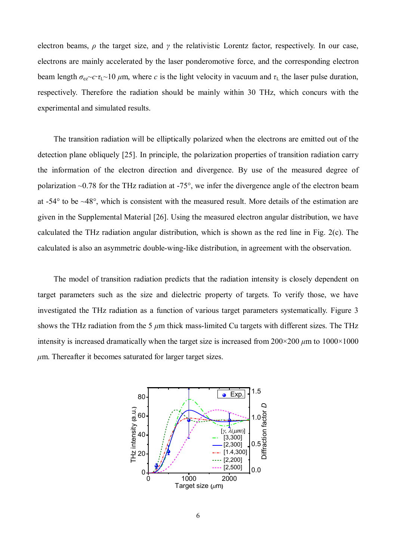electron beams, *ρ* the target size, and *γ* the relativistic Lorentz factor, respectively. In our case, electrons are mainly accelerated by the laser ponderomotive force, and the corresponding electron beam length  $\sigma_{e}$ <sup>-</sup> $c$ ⋅*τ*<sub>L</sub>~10 *μ*m, where *c* is the light velocity in vacuum and *τ*<sub>L</sub> the laser pulse duration, respectively. Therefore the radiation should be mainly within 30 THz, which concurs with the experimental and simulated results.

The transition radiation will be elliptically polarized when the electrons are emitted out of the detection plane obliquely [25]. In principle, the polarization properties of transition radiation carry the information of the electron direction and divergence. By use of the measured degree of polarization ~0.78 for the THz radiation at -75°, we infer the divergence angle of the electron beam at -54° to be ~48°, which is consistent with the measured result. More details of the estimation are given in the Supplemental Material [26]. Using the measured electron angular distribution, we have calculated the THz radiation angular distribution, which is shown as the red line in Fig. 2(c). The calculated is also an asymmetric double-wing-like distribution, in agreement with the observation.

The model of transition radiation predicts that the radiation intensity is closely dependent on target parameters such as the size and dielectric property of targets. To verify those, we have investigated the THz radiation as a function of various target parameters systematically. Figure 3 shows the THz radiation from the 5 *μ*m thick mass-limited Cu targets with different sizes. The THz intensity is increased dramatically when the target size is increased from  $200 \times 200 \mu$ m to  $1000 \times 1000$ *μ*m. Thereafter it becomes saturated for larger target sizes.

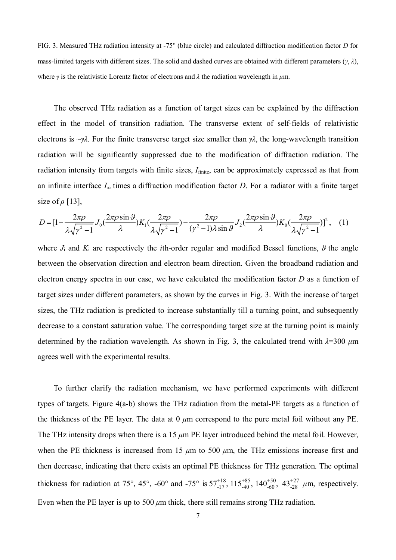FIG. 3. Measured THz radiation intensity at -75° (blue circle) and calculated diffraction modification factor *D* for mass-limited targets with different sizes. The solid and dashed curves are obtained with different parameters (*γ*, *λ*), where *γ* is the relativistic Lorentz factor of electrons and *λ* the radiation wavelength in *μ*m.

The observed THz radiation as a function of target sizes can be explained by the diffraction effect in the model of transition radiation. The transverse extent of self-fields of relativistic electrons is ~*γλ*. For the finite transverse target size smaller than *γλ*, the long-wavelength transition radiation will be significantly suppressed due to the modification of diffraction radiation. The radiation intensity from targets with finite sizes,  $I_{\text{finite}}$ , can be approximately expressed as that from an infinite interface  $I_\infty$  times a diffraction modification factor *D*. For a radiator with a finite target size of *ρ* [13],

$$
D = \left[1 - \frac{2\pi\rho}{\lambda\sqrt{\gamma^2 - 1}} J_0\left(\frac{2\pi\rho\sin\vartheta}{\lambda}\right) K_1\left(\frac{2\pi\rho}{\lambda\sqrt{\gamma^2 - 1}}\right) - \frac{2\pi\rho}{(\gamma^2 - 1)\lambda\sin\vartheta} J_2\left(\frac{2\pi\rho\sin\vartheta}{\lambda}\right) K_0\left(\frac{2\pi\rho}{\lambda\sqrt{\gamma^2 - 1}}\right)\right]^2, \quad (1)
$$

where  $J_i$  and  $K_i$  are respectively the *i*th-order regular and modified Bessel functions,  $\theta$  the angle between the observation direction and electron beam direction. Given the broadband radiation and electron energy spectra in our case, we have calculated the modification factor *D* as a function of target sizes under different parameters, as shown by the curves in Fig. 3. With the increase of target sizes, the THz radiation is predicted to increase substantially till a turning point, and subsequently decrease to a constant saturation value. The corresponding target size at the turning point is mainly determined by the radiation wavelength. As shown in Fig. 3, the calculated trend with *λ*=300 *μ*m agrees well with the experimental results.

To further clarify the radiation mechanism, we have performed experiments with different types of targets. Figure 4(a-b) shows the THz radiation from the metal-PE targets as a function of the thickness of the PE layer. The data at 0 *μ*m correspond to the pure metal foil without any PE. The THz intensity drops when there is a 15  $\mu$ m PE layer introduced behind the metal foil. However, when the PE thickness is increased from 15  $\mu$ m to 500  $\mu$ m, the THz emissions increase first and then decrease, indicating that there exists an optimal PE thickness for THz generation. The optimal thickness for radiation at 75°, 45°, -60° and -75° is  $57^{+18}_{-17}$ ,  $115^{+85}_{-40}$ ,  $140^{+50}_{-60}$ ,  $43^{+27}_{-28}$   $\mu$ m, respectively. Even when the PE layer is up to 500 *μ*m thick, there still remains strong THz radiation.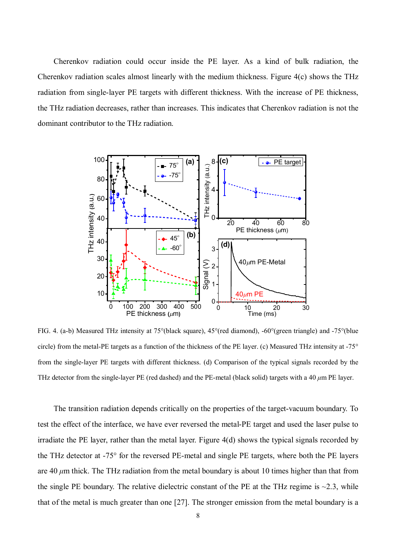Cherenkov radiation could occur inside the PE layer. As a kind of bulk radiation, the Cherenkov radiation scales almost linearly with the medium thickness. Figure 4(c) shows the THz radiation from single-layer PE targets with different thickness. With the increase of PE thickness, the THz radiation decreases, rather than increases. This indicates that Cherenkov radiation is not the dominant contributor to the THz radiation.



FIG. 4. (a-b) Measured THz intensity at 75°(black square), 45°(red diamond), -60°(green triangle) and -75°(blue circle) from the metal-PE targets as a function of the thickness of the PE layer. (c) Measured THz intensity at -75° from the single-layer PE targets with different thickness. (d) Comparison of the typical signals recorded by the THz detector from the single-layer PE (red dashed) and the PE-metal (black solid) targets with a 40 *μ*m PE layer.

The transition radiation depends critically on the properties of the target-vacuum boundary. To test the effect of the interface, we have ever reversed the metal-PE target and used the laser pulse to irradiate the PE layer, rather than the metal layer. Figure 4(d) shows the typical signals recorded by the THz detector at -75° for the reversed PE-metal and single PE targets, where both the PE layers are 40 *μ*m thick. The THz radiation from the metal boundary is about 10 times higher than that from the single PE boundary. The relative dielectric constant of the PE at the THz regime is  $\sim$ 2.3, while that of the metal is much greater than one [27]. The stronger emission from the metal boundary is a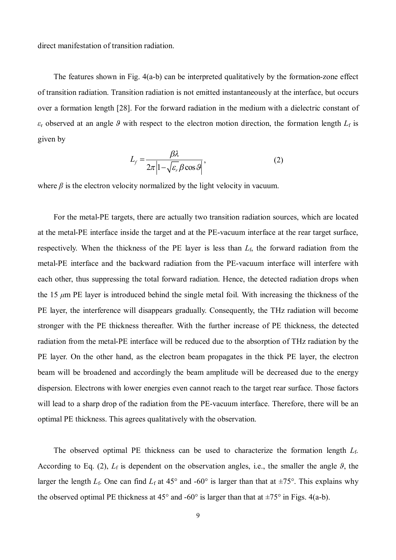direct manifestation of transition radiation.

The features shown in Fig. 4(a-b) can be interpreted qualitatively by the formation-zone effect of transition radiation. Transition radiation is not emitted instantaneously at the interface, but occurs over a formation length [28]. For the forward radiation in the medium with a dielectric constant of  $\epsilon_r$  observed at an angle *θ* with respect to the electron motion direction, the formation length  $L_f$  is given by

$$
L_f = \frac{\beta \lambda}{2\pi \left| 1 - \sqrt{\varepsilon_r} \beta \cos \theta \right|},\tag{2}
$$

where  $\beta$  is the electron velocity normalized by the light velocity in vacuum.

For the metal-PE targets, there are actually two transition radiation sources, which are located at the metal-PE interface inside the target and at the PE-vacuum interface at the rear target surface, respectively. When the thickness of the PE layer is less than  $L_f$ , the forward radiation from the metal-PE interface and the backward radiation from the PE-vacuum interface will interfere with each other, thus suppressing the total forward radiation. Hence, the detected radiation drops when the 15 *μ*m PE layer is introduced behind the single metal foil. With increasing the thickness of the PE layer, the interference will disappears gradually. Consequently, the THz radiation will become stronger with the PE thickness thereafter. With the further increase of PE thickness, the detected radiation from the metal-PE interface will be reduced due to the absorption of THz radiation by the PE layer. On the other hand, as the electron beam propagates in the thick PE layer, the electron beam will be broadened and accordingly the beam amplitude will be decreased due to the energy dispersion. Electrons with lower energies even cannot reach to the target rear surface. Those factors will lead to a sharp drop of the radiation from the PE-vacuum interface. Therefore, there will be an optimal PE thickness. This agrees qualitatively with the observation.

The observed optimal PE thickness can be used to characterize the formation length *L*f. According to Eq. (2),  $L_f$  is dependent on the observation angles, i.e., the smaller the angle  $\vartheta$ , the larger the length  $L_f$ . One can find  $L_f$  at 45° and -60° is larger than that at  $\pm 75$ °. This explains why the observed optimal PE thickness at  $45^{\circ}$  and  $-60^{\circ}$  is larger than that at  $\pm 75^{\circ}$  in Figs. 4(a-b).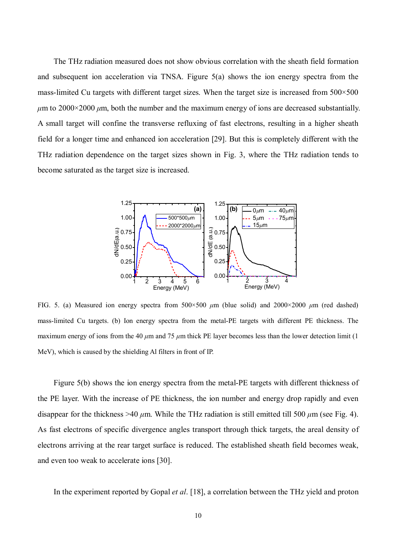The THz radiation measured does not show obvious correlation with the sheath field formation and subsequent ion acceleration via TNSA. Figure 5(a) shows the ion energy spectra from the mass-limited Cu targets with different target sizes. When the target size is increased from  $500 \times 500$ *μ*m to 2000×2000 *μ*m, both the number and the maximum energy of ions are decreased substantially. A small target will confine the transverse refluxing of fast electrons, resulting in a higher sheath field for a longer time and enhanced ion acceleration [29]. But this is completely different with the THz radiation dependence on the target sizes shown in Fig. 3, where the THz radiation tends to become saturated as the target size is increased.



FIG. 5. (a) Measured ion energy spectra from 500×500 *μ*m (blue solid) and 2000×2000 *μ*m (red dashed) mass-limited Cu targets. (b) Ion energy spectra from the metal-PE targets with different PE thickness. The maximum energy of ions from the 40  $\mu$ m and 75  $\mu$ m thick PE layer becomes less than the lower detection limit (1) MeV), which is caused by the shielding Al filters in front of IP.

Figure 5(b) shows the ion energy spectra from the metal-PE targets with different thickness of the PE layer. With the increase of PE thickness, the ion number and energy drop rapidly and even disappear for the thickness >40  $\mu$ m. While the THz radiation is still emitted till 500  $\mu$ m (see Fig. 4). As fast electrons of specific divergence angles transport through thick targets, the areal density of electrons arriving at the rear target surface is reduced. The established sheath field becomes weak, and even too weak to accelerate ions [30].

In the experiment reported by Gopal *et al*. [18], a correlation between the THz yield and proton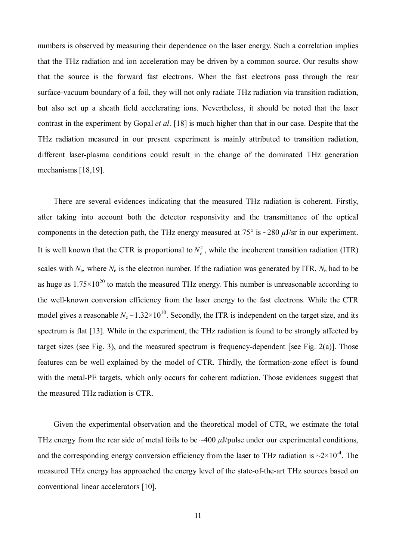numbers is observed by measuring their dependence on the laser energy. Such a correlation implies that the THz radiation and ion acceleration may be driven by a common source. Our results show that the source is the forward fast electrons. When the fast electrons pass through the rear surface-vacuum boundary of a foil, they will not only radiate THz radiation via transition radiation, but also set up a sheath field accelerating ions. Nevertheless, it should be noted that the laser contrast in the experiment by Gopal *et al*. [18] is much higher than that in our case. Despite that the THz radiation measured in our present experiment is mainly attributed to transition radiation, different laser-plasma conditions could result in the change of the dominated THz generation mechanisms [18,19].

There are several evidences indicating that the measured THz radiation is coherent. Firstly, after taking into account both the detector responsivity and the transmittance of the optical components in the detection path, the THz energy measured at  $75^{\circ}$  is  $\sim$ 280  $\mu$ J/sr in our experiment. It is well known that the CTR is proportional to  $N_e^2$ , while the incoherent transition radiation (ITR) scales with  $N_e$ , where  $N_e$  is the electron number. If the radiation was generated by ITR,  $N_e$  had to be as huge as  $1.75 \times 10^{20}$  to match the measured THz energy. This number is unreasonable according to the well-known conversion efficiency from the laser energy to the fast electrons. While the CTR model gives a reasonable  $N_e \sim 1.32 \times 10^{10}$ . Secondly, the ITR is independent on the target size, and its spectrum is flat [13]. While in the experiment, the THz radiation is found to be strongly affected by target sizes (see Fig. 3), and the measured spectrum is frequency-dependent [see Fig. 2(a)]. Those features can be well explained by the model of CTR. Thirdly, the formation-zone effect is found with the metal-PE targets, which only occurs for coherent radiation. Those evidences suggest that the measured THz radiation is CTR.

Given the experimental observation and the theoretical model of CTR, we estimate the total THz energy from the rear side of metal foils to be ~400 *μ*J/pulse under our experimental conditions, and the corresponding energy conversion efficiency from the laser to THz radiation is  $\sim$ 2 $\times$ 10<sup>-4</sup>. The measured THz energy has approached the energy level of the state-of-the-art THz sources based on conventional linear accelerators [10].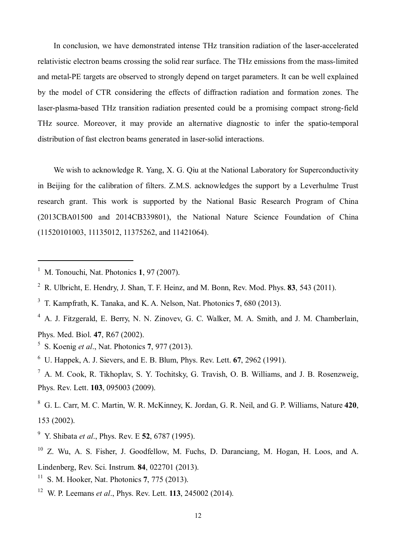In conclusion, we have demonstrated intense THz transition radiation of the laser-accelerated relativistic electron beams crossing the solid rear surface. The THz emissions from the mass-limited and metal-PE targets are observed to strongly depend on target parameters. It can be well explained by the model of CTR considering the effects of diffraction radiation and formation zones. The laser-plasma-based THz transition radiation presented could be a promising compact strong-field THz source. Moreover, it may provide an alternative diagnostic to infer the spatio-temporal distribution of fast electron beams generated in laser-solid interactions.

We wish to acknowledge R. Yang, X. G. Qiu at the National Laboratory for Superconductivity in Beijing for the calibration of filters. Z.M.S. acknowledges the support by a Leverhulme Trust research grant. This work is supported by the National Basic Research Program of China (2013CBA01500 and 2014CB339801), the National Nature Science Foundation of China (11520101003, 11135012, 11375262, and 11421064).

 $\overline{a}$ 

- 3 T. Kampfrath, K. Tanaka, and K. A. Nelson, Nat. Photonics **7**, 680 (2013).
- <sup>4</sup> A. J. Fitzgerald, E. Berry, N. N. Zinovev, G. C. Walker, M. A. Smith, and J. M. Chamberlain, Phys. Med. Biol. **47**, R67 (2002).
- 5 S. Koenig *et al*., Nat. Photonics **7**, 977 (2013).
- <sup>6</sup> U. Happek, A. J. Sievers, and E. B. Blum, Phys. Rev. Lett. **67**, 2962 (1991).
- $^7$  A. M. Cook, R. Tikhoplav, S. Y. Tochitsky, G. Travish, O. B. Williams, and J. B. Rosenzweig, Phys. Rev. Lett. **103**, 095003 (2009).
- <sup>8</sup> G. L. Carr, M. C. Martin, W. R. McKinney, K. Jordan, G. R. Neil, and G. P. Williams, Nature **420**, 153 (2002).
- <sup>9</sup> Y. Shibata *et al*., Phys. Rev. E **52**, 6787 (1995).

- <sup>11</sup> S. M. Hooker, Nat. Photonics **7**, 775 (2013).
- <sup>12</sup> W. P. Leemans *et al*., Phys. Rev. Lett. **113**, 245002 (2014).

<sup>1</sup> M. Tonouchi, Nat. Photonics **1**, 97 (2007).

<sup>2</sup> R. Ulbricht, E. Hendry, J. Shan, T. F. Heinz, and M. Bonn, Rev. Mod. Phys. **83**, 543 (2011).

<sup>10</sup> Z. Wu, A. S. Fisher, J. Goodfellow, M. Fuchs, D. Daranciang, M. Hogan, H. Loos, and A. Lindenberg, Rev. Sci. Instrum. **84**, 022701 (2013).